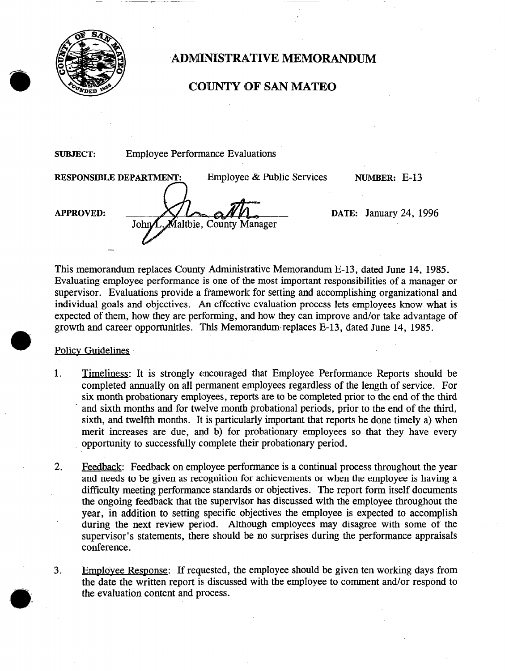

## ADMINISTRATIVE MEMORANDUM

## COUNTY OF SAN MATE0

SUBJECT: Employee Performance Evaluations

RESPONSIBLE DEPARTMENT:

-

Employee & Public Services NUMBER: E-13

APPROVED:

 $M_{\text{John}}$  DATE: January 24, 1996<br>John L. Maltbie. County Manager

This memorandum replaces County Administrative Memorandum E-13, dated June 14, 1985. Evaluating employee performance is one of the most important responsibilities of a manager or supervisor. Evaluations provide a framework for setting and accomplishing organizational and individual goals and objectives. An effective evaluation process lets employees know what is expected of them, how they are performing, and how they can improve and/or take advantage of growth and career opportunities. This Memorandum, replaces E-13, dated June 14, 1985.

## Policv Guidelines

- 1. Timeliness: It is strongly encouraged that Employee Performance Reports should be completed annually on all permanent employees regardless of the length of service. For six month probationary employees, reports are to be completed prior to the end of the third and sixth months and for twelve month probational periods, prior to the end of the third, sixth, and twelfth months. It is particularly important that reports be done timely a) when merit increases are due, and b) for probationary employees so that they have every opportunity to successfully complete their probationary period.
- 2. Feedback: Feedback on employee performance is a continual process throughout the year and needs to be given as recognition for achievements or when the employee is having a difficulty meeting performance standards or objectives. The report form itself documents the ongoing feedback that the supervisor has discussed with the employee throughout the year, in addition to setting specific objectives the employee is expected to accomplish during the next review period. Although employees may disagree with some of the supervisor's statements, there should be no surprises during the performance appraisals conference.
- 3. Employee Response: If requested, the employee should be given ten working days from the date the written report is discussed with the employee to comment and/or respond to the evaluation content and process.